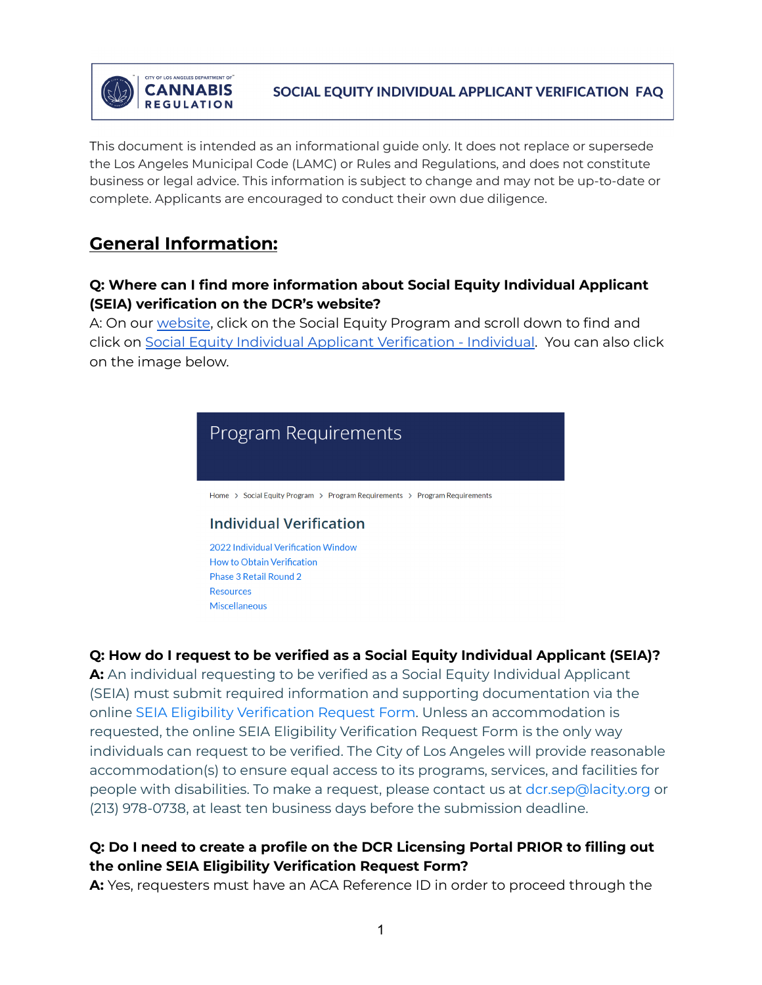

This document is intended as an informational guide only. It does not replace or supersede the Los Angeles Municipal Code (LAMC) or Rules and Regulations, and does not constitute business or legal advice. This information is subject to change and may not be up-to-date or complete. Applicants are encouraged to conduct their own due diligence.

# **General Information:**

### **Q: Where can I find more information about Social Equity Individual Applicant (SEIA) verification on the DCR's website?**

A: On our [website](https://cannabis.lacity.org/), click on the Social Equity Program and scroll down to find and click on Social Equity Individual Applicant [Verification](https://cannabis.lacity.org/social-equity-program/program-requirements/program-requirements#Individual) - Individual. You can also click on the image below.



# **Q: How do I request to be verified as a Social Equity Individual Applicant (SEIA)?**

**A:** An individual requesting to be verified as a Social Equity Individual Applicant (SEIA) must submit required information and supporting documentation via the online SEIA Eligibility [Verification](https://www.jotform.com/form/203146916037150) Request Form. Unless an accommodation is requested, the online SEIA Eligibility Verification Request Form is the only way individuals can request to be verified. The City of Los Angeles will provide reasonable accommodation(s) to ensure equal access to its programs, services, and facilities for people with disabilities. To make a request, please contact us at dcr.sep@lacity.org or (213) 978-0738, at least ten business days before the submission deadline.

# **Q: Do I need to create a profile on the DCR Licensing Portal PRIOR to filling out the online SEIA Eligibility Verification Request Form?**

**A:** Yes, requesters must have an ACA Reference ID in order to proceed through the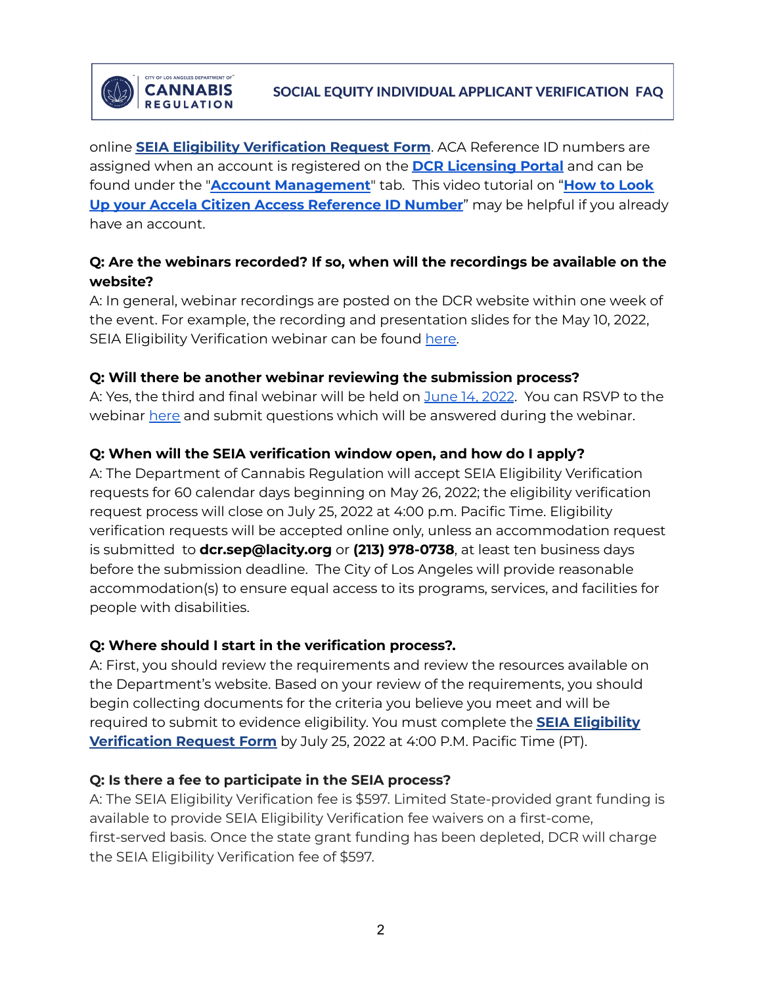

**CANNABIS** 

**REGULATION** 

online **SEIA Eligibility [Verification](https://www.jotform.com/form/203146916037150) Request Form**. ACA Reference ID numbers are assigned when an account is registered on the **DCR [Licensing](https://aca-prod.accela.com/LADCR/Login.aspx) Portal** and can be found under the "**Account [Management](https://aca-prod.accela.com/LADCR/Account/AccountManager.aspx)**" tab. This video tutorial on "**How to [Look](https://cannabis.lacity.org/licensing/licensing-information/video-tutorials) Up your Accela Citizen Access [Reference](https://cannabis.lacity.org/licensing/licensing-information/video-tutorials) ID Number**" may be helpful if you already have an account.

# **Q: Are the webinars recorded? If so, when will the recordings be available on the website?**

A: In general, webinar recordings are posted on the DCR website within one week of the event. For example, the recording and presentation slides for the May 10, 2022, SEIA Eligibility Verification webinar can be found [here.](https://cannabis.lacity.org/video/may-10th-2022-social-equity-individual-applicant-eligibility-verification-request-webinar)

#### **Q: Will there be another webinar reviewing the submission process?**

A: Yes, the third and final webinar will be held on [June](https://us06web.zoom.us/j/88496119635) 14, 2022. You can RSVP to the webinar [here](https://form.jotform.com/LADCR/seia-webinar-rsvp) and submit questions which will be answered during the webinar.

### **Q: When will the SEIA verification window open, and how do I apply?**

A: The Department of Cannabis Regulation will accept SEIA Eligibility Verification requests for 60 calendar days beginning on May 26, 2022; the eligibility verification request process will close on July 25, 2022 at 4:00 p.m. Pacific Time. Eligibility verification requests will be accepted online only, unless an accommodation request is submitted to **dcr.sep@lacity.org** or **(213) 978-0738**, at least ten business days before the submission deadline. The City of Los Angeles will provide reasonable accommodation(s) to ensure equal access to its programs, services, and facilities for people with disabilities.

#### **Q: Where should I start in the verification process?.**

A: First, you should review the requirements and review the resources available on the Department's website. Based on your review of the requirements, you should begin collecting documents for the criteria you believe you meet and will be required to submit to evidence eligibility. You must complete the **SEIA [Eligibility](https://www.jotform.com/form/203146916037150) [Verification](https://www.jotform.com/form/203146916037150) Request Form** by July 25, 2022 at 4:00 P.M. Pacific Time (PT).

#### **Q: Is there a fee to participate in the SEIA process?**

A: The SEIA Eligibility Verification fee is \$597. Limited State-provided grant funding is available to provide SEIA Eligibility Verification fee waivers on a first-come, first-served basis. Once the state grant funding has been depleted, DCR will charge the SEIA Eligibility Verification fee of \$597.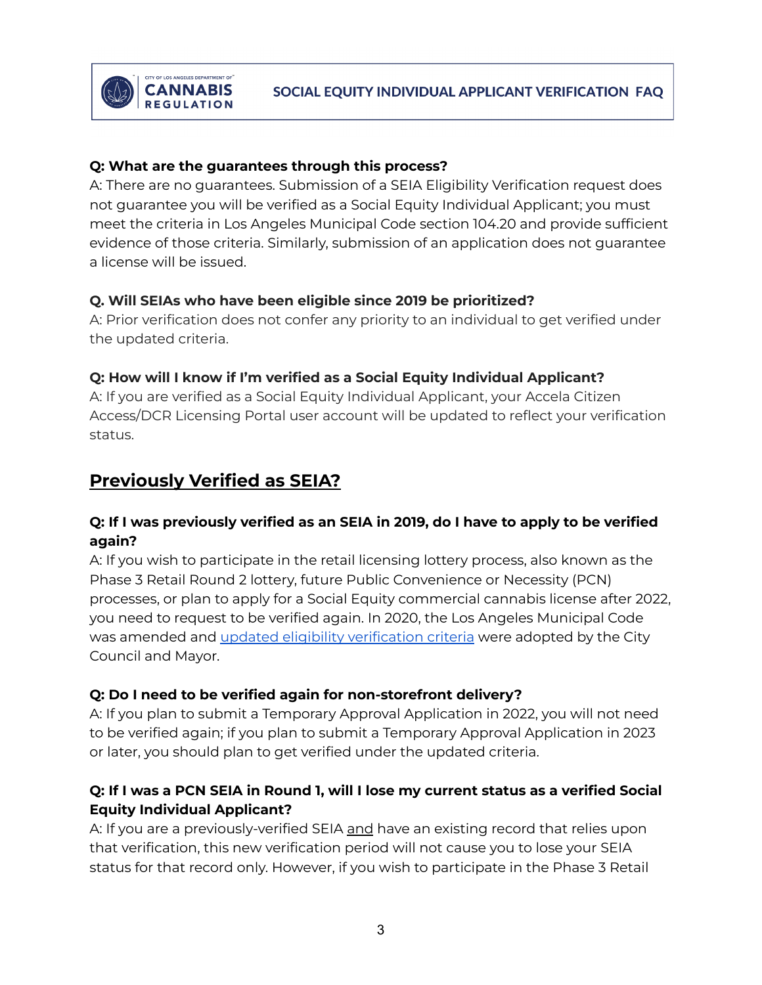### **Q: What are the guarantees through this process?**

**CANNABIS** 

**REGULATION** 

A: There are no guarantees. Submission of a SEIA Eligibility Verification request does not guarantee you will be verified as a Social Equity Individual Applicant; you must meet the criteria in Los Angeles Municipal Code section 104.20 and provide sufficient evidence of those criteria. Similarly, submission of an application does not guarantee a license will be issued.

### **Q. Will SEIAs who have been eligible since 2019 be prioritized?**

A: Prior verification does not confer any priority to an individual to get verified under the updated criteria.

# **Q: How will I know if I'm verified as a Social Equity Individual Applicant?**

A: If you are verified as a Social Equity Individual Applicant, your Accela Citizen Access/DCR Licensing Portal user account will be updated to reflect your verification status.

# **Previously Verified as SEIA?**

# **Q: If I was previously verified as an SEIA in 2019, do I have to apply to be verified again?**

A: If you wish to participate in the retail licensing lottery process, also known as the Phase 3 Retail Round 2 lottery, future Public Convenience or Necessity (PCN) processes, or plan to apply for a Social Equity commercial cannabis license after 2022, you need to request to be verified again. In 2020, the Los Angeles Municipal Code was amended and updated eligibility [verification](https://cannabis.lacity.org/social-equity-program/program-requirements/program-requirements#Individual) criteria were adopted by the City Council and Mayor.

# **Q: Do I need to be verified again for non-storefront delivery?**

A: If you plan to submit a Temporary Approval Application in 2022, you will not need to be verified again; if you plan to submit a Temporary Approval Application in 2023 or later, you should plan to get verified under the updated criteria.

# Q: If I was a PCN SEIA in Round 1, will I lose my current status as a verified Social **Equity Individual Applicant?**

A: If you are a previously-verified SEIA and have an existing record that relies upon that verification, this new verification period will not cause you to lose your SEIA status for that record only. However, if you wish to participate in the Phase 3 Retail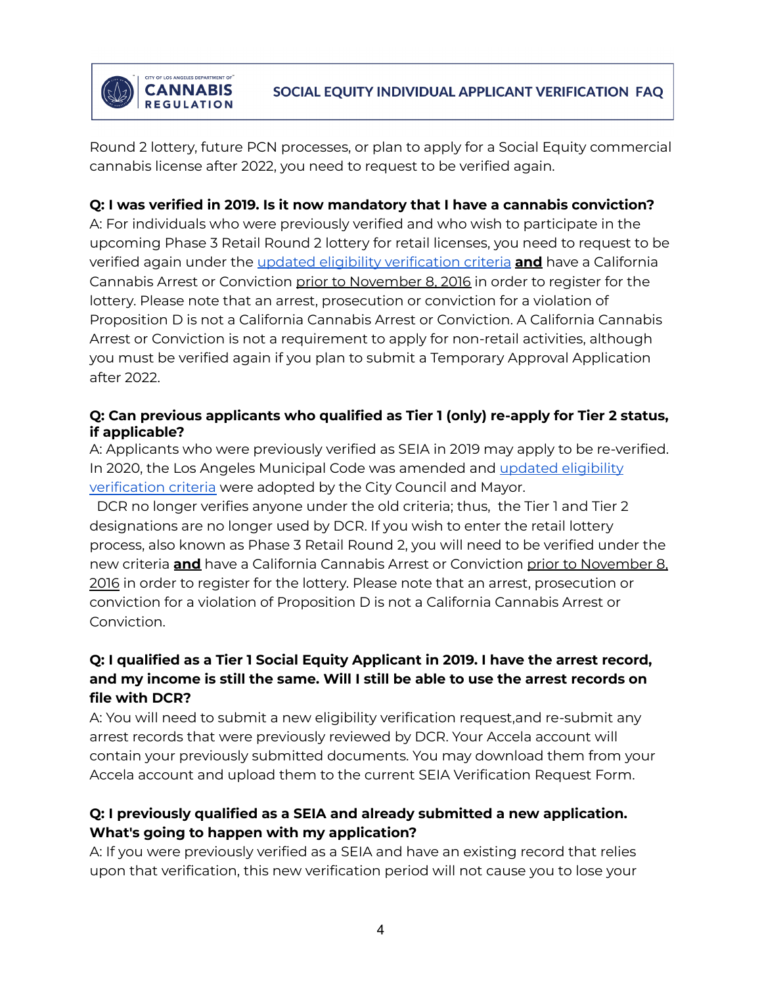

Round 2 lottery, future PCN processes, or plan to apply for a Social Equity commercial cannabis license after 2022, you need to request to be verified again.

**CANNABIS** 

**REGULATION** 

### **Q: I was verified in 2019. Is it now mandatory that I have a cannabis conviction?**

A: For individuals who were previously verified and who wish to participate in the upcoming Phase 3 Retail Round 2 lottery for retail licenses, you need to request to be verified again under the updated eligibility [verification](https://cannabis.lacity.org/social-equity-program/program-requirements/program-requirements#Individual) criteria **and** have a California Cannabis Arrest or Conviction prior to November 8, 2016 in order to register for the lottery. Please note that an arrest, prosecution or conviction for a violation of Proposition D is not a California Cannabis Arrest or Conviction. A California Cannabis Arrest or Conviction is not a requirement to apply for non-retail activities, although you must be verified again if you plan to submit a Temporary Approval Application after 2022.

#### **Q: Can previous applicants who qualified as Tier 1 (only) re-apply for Tier 2 status, if applicable?**

A: Applicants who were previously verified as SEIA in 2019 may apply to be re-verified. In 2020, the Los Angeles Municipal Code was amended and updated [eligibility](https://cannabis.lacity.org/social-equity-program/program-requirements/program-requirements#Individual) [verification](https://cannabis.lacity.org/social-equity-program/program-requirements/program-requirements#Individual) criteria were adopted by the City Council and Mayor.

DCR no longer verifies anyone under the old criteria; thus, the Tier 1 and Tier 2 designations are no longer used by DCR. If you wish to enter the retail lottery process, also known as Phase 3 Retail Round 2, you will need to be verified under the new criteria **and** have a California Cannabis Arrest or Conviction prior to November 8, 2016 in order to register for the lottery. Please note that an arrest, prosecution or conviction for a violation of Proposition D is not a California Cannabis Arrest or Conviction.

# **Q: I qualified as a Tier 1 Social Equity Applicant in 2019. I have the arrest record, and my income is still the same. Will I still be able to use the arrest records on file with DCR?**

A: You will need to submit a new eligibility verification request,and re-submit any arrest records that were previously reviewed by DCR. Your Accela account will contain your previously submitted documents. You may download them from your Accela account and upload them to the current SEIA Verification Request Form.

# **Q: I previously qualified as a SEIA and already submitted a new application. What's going to happen with my application?**

A: If you were previously verified as a SEIA and have an existing record that relies upon that verification, this new verification period will not cause you to lose your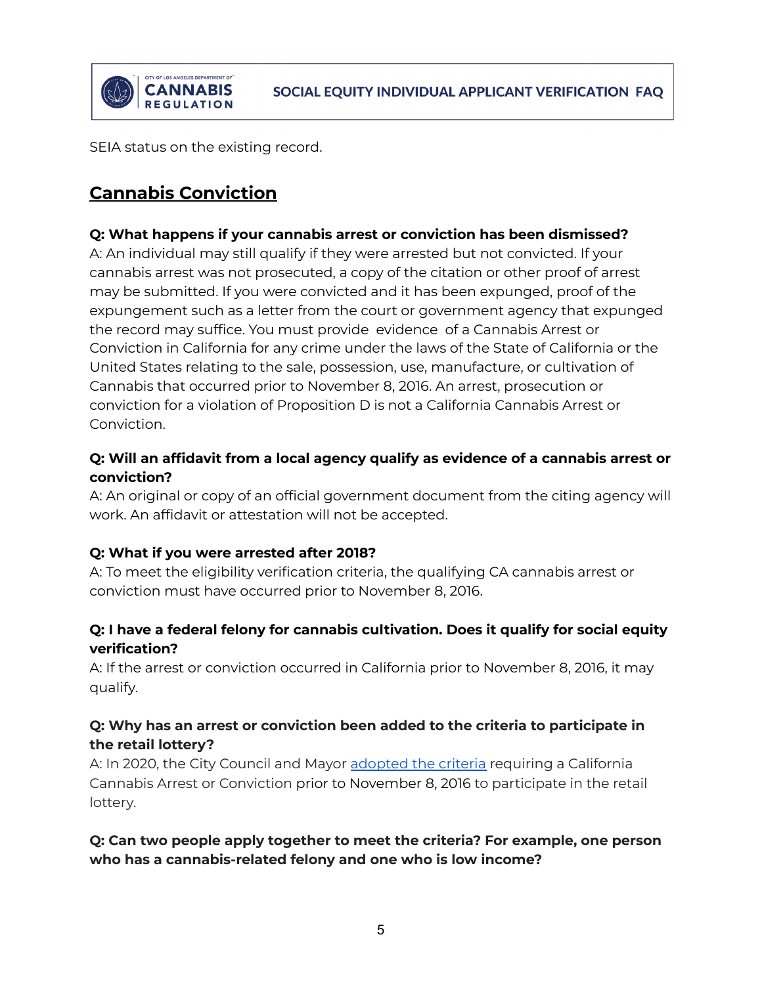

SEIA status on the existing record.

# **Cannabis Conviction**

#### **Q: What happens if your cannabis arrest or conviction has been dismissed?**

A: An individual may still qualify if they were arrested but not convicted. If your cannabis arrest was not prosecuted, a copy of the citation or other proof of arrest may be submitted. If you were convicted and it has been expunged, proof of the expungement such as a letter from the court or government agency that expunged the record may suffice. You must provide evidence of a Cannabis Arrest or Conviction in California for any crime under the laws of the State of California or the United States relating to the sale, possession, use, manufacture, or cultivation of Cannabis that occurred prior to November 8, 2016. An arrest, prosecution or conviction for a violation of Proposition D is not a California Cannabis Arrest or Conviction.

### **Q: Will an affidavit from a local agency qualify as evidence of a cannabis arrest or conviction?**

A: An original or copy of an official government document from the citing agency will work. An affidavit or attestation will not be accepted.

#### **Q: What if you were arrested after 2018?**

A: To meet the eligibility verification criteria, the qualifying CA cannabis arrest or conviction must have occurred prior to November 8, 2016.

# **Q: I have a federal felony for cannabis cultivation. Does it qualify for social equity verification?**

A: If the arrest or conviction occurred in California prior to November 8, 2016, it may qualify.

# **Q: Why has an arrest or conviction been added to the criteria to participate in the retail lottery?**

A: In 2020, the City Council and Mayor [adopted](http://clkrep.lacity.org/onlinedocs/2017/17-0653_ORD_186703_07-10-2020.pdf) the criteria requiring a California Cannabis Arrest or Conviction prior to November 8, 2016 to participate in the retail lottery.

### **Q: Can two people apply together to meet the criteria? For example, one person who has a cannabis-related felony and one who is low income?**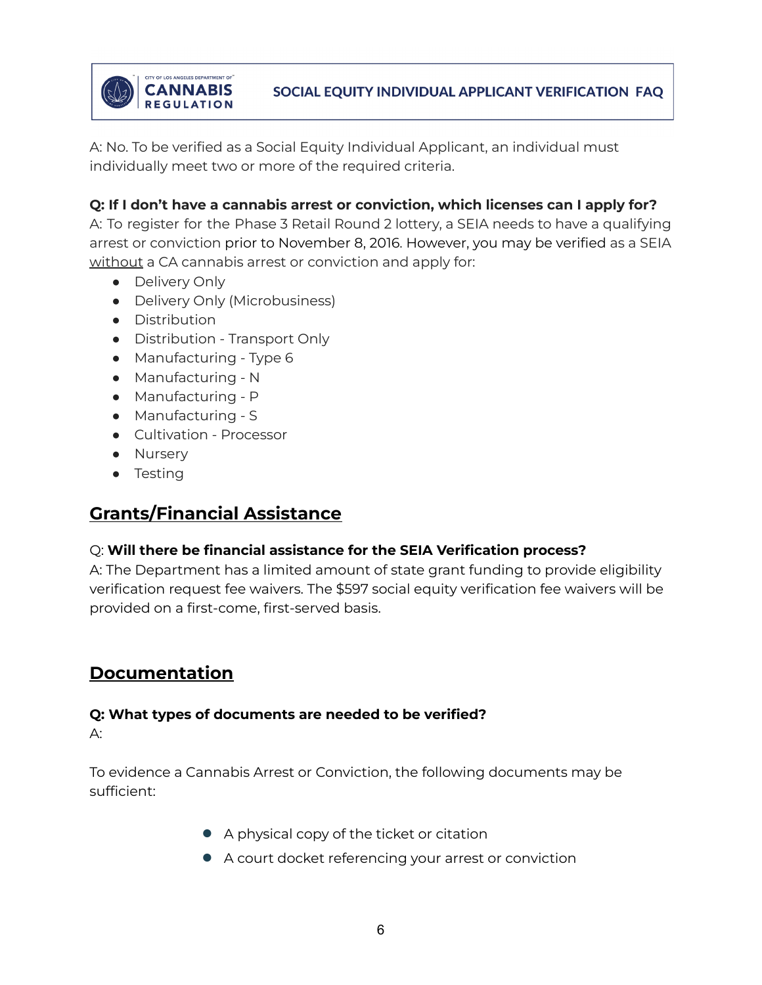

A: No. To be verified as a Social Equity Individual Applicant, an individual must individually meet two or more of the required criteria.

# **Q: If I don't have a cannabis arrest or conviction, which licenses can I apply for?**

A: To register for the Phase 3 Retail Round 2 lottery, a SEIA needs to have a qualifying arrest or conviction prior to November 8, 2016. However, you may be verified as a SEIA without a CA cannabis arrest or conviction and apply for:

- Delivery Only
- Delivery Only (Microbusiness)
- Distribution
- Distribution Transport Only
- Manufacturing Type 6
- Manufacturing N
- Manufacturing P
- Manufacturing S
- Cultivation Processor
- Nursery
- Testing

# **Grants/Financial Assistance**

# Q: **Will there be financial assistance for the SEIA Verification process?**

A: The Department has a limited amount of state grant funding to provide eligibility verification request fee waivers. The \$597 social equity verification fee waivers will be provided on a first-come, first-served basis.

# **Documentation**

# **Q: What types of documents are needed to be verified?**

A:

To evidence a Cannabis Arrest or Conviction, the following documents may be sufficient:

- A physical copy of the ticket or citation
- A court docket referencing your arrest or conviction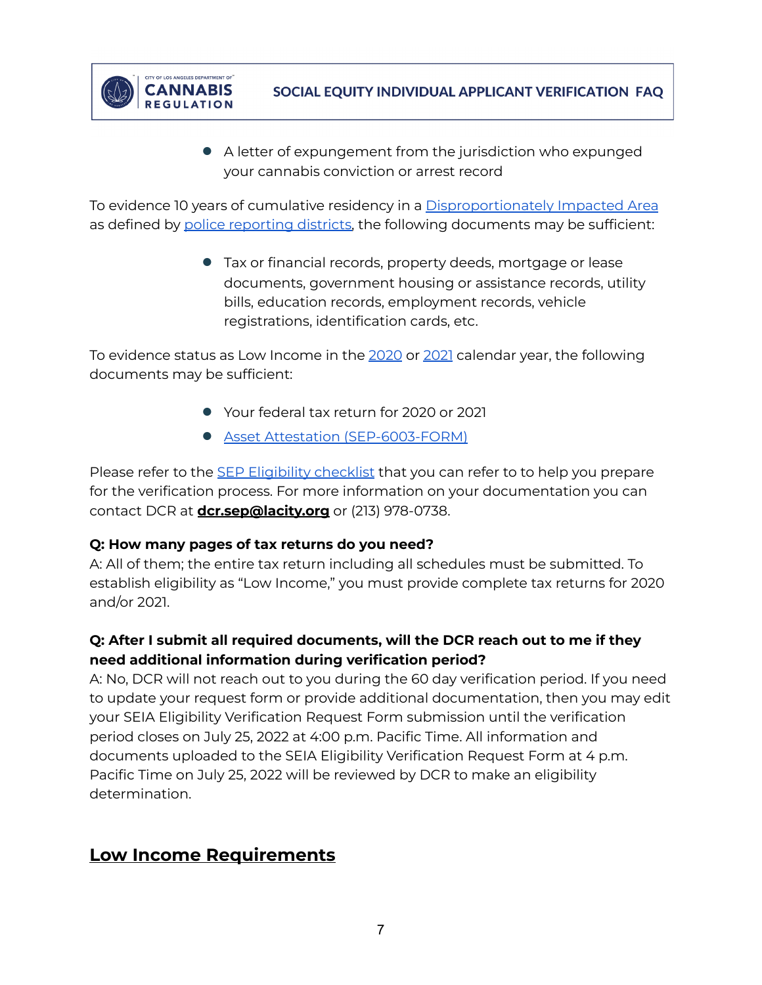

● A letter of expungement from the jurisdiction who expunged your cannabis conviction or arrest record

To evidence 10 years of cumulative residency in a [Disproportionately](https://ladcp.maps.arcgis.com/apps/webappviewer/index.html?id=ffd298faf52c4427b9269e1871cf6828) Impacted Area as defined by police [reporting](https://clkrep.lacity.org/onlinedocs/2022/22-0354_rpt_dcr_3-23-22.pdf) districts, the following documents may be sufficient:

> ● Tax or financial records, property deeds, mortgage or lease documents, government housing or assistance records, utility bills, education records, employment records, vehicle registrations, identification cards, etc.

To evidence status as Low Income in the [2020](https://www.huduser.gov/portal/datasets/home-datasets/files/HOME_IncomeLmts_State_CA_2020.pdf) or [2021](https://www.huduser.gov/portal/datasets/home-datasets/files/HOME_IncomeLmts_State_CA_2021.pdf) calendar year, the following documents may be sufficient:

- Your federal tax return for 2020 or 2021
- Asset Attestation [\(SEP-6003-FORM\)](https://cannabis.lacity.org/sites/g/files/wph1726/files/2022-05/SEP-6003-FORM%20-%20Asset%20Attestation%20%2805.23.2022%29.pdf)

Please refer to the **SEP [Eligibility](https://cannabis.lacity.org/sites/g/files/wph1726/files/2022-05/SEP%20Eligibility%20Verification%20Checklist.pdf) checklist** that you can refer to to help you prepare for the verification process. For more information on your documentation you can contact DCR at **[dcr.sep@lacity.org](mailto:dcr.sep@lacity.org)** or (213) 978-0738.

# **Q: How many pages of tax returns do you need?**

A: All of them; the entire tax return including all schedules must be submitted. To establish eligibility as "Low Income," you must provide complete tax returns for 2020 and/or 2021.

# **Q: After I submit all required documents, will the DCR reach out to me if they need additional information during verification period?**

A: No, DCR will not reach out to you during the 60 day verification period. If you need to update your request form or provide additional documentation, then you may edit your SEIA Eligibility Verification Request Form submission until the verification period closes on July 25, 2022 at 4:00 p.m. Pacific Time. All information and documents uploaded to the SEIA Eligibility Verification Request Form at 4 p.m. Pacific Time on July 25, 2022 will be reviewed by DCR to make an eligibility determination.

# **Low Income Requirements**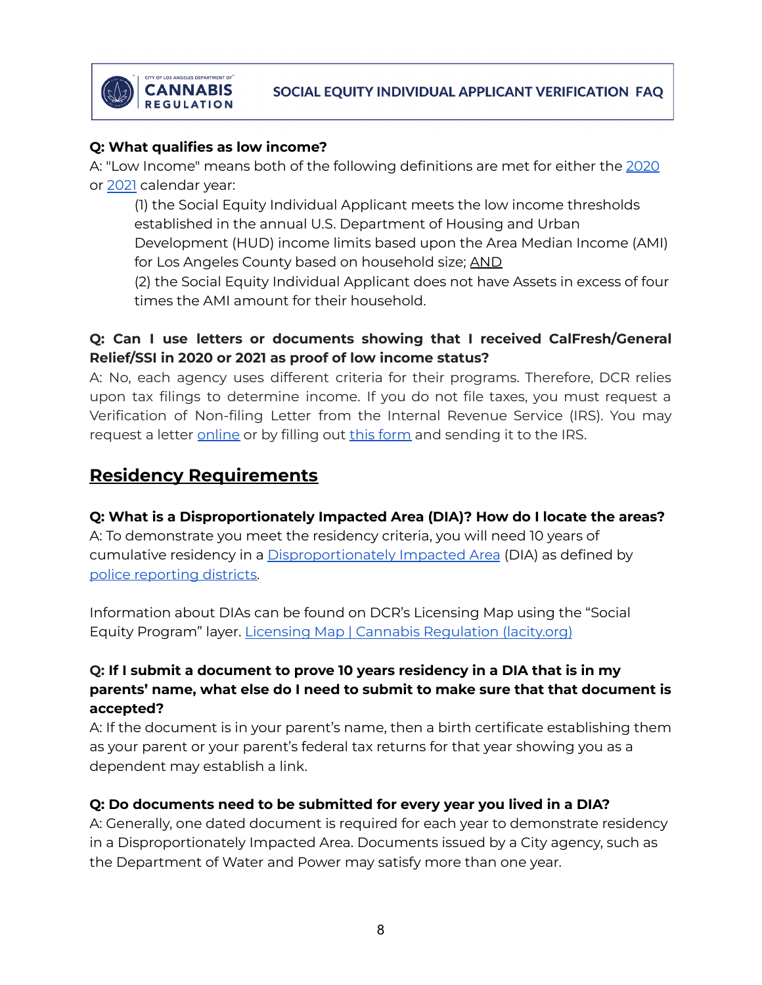

#### **Q: What qualifies as low income?**

A: "Low Income" means both of the following definitions are met for either the [2020](https://www.huduser.gov/portal/datasets/home-datasets/files/HOME_IncomeLmts_State_CA_2020.pdf) or [2021](https://www.huduser.gov/portal/datasets/home-datasets/files/HOME_IncomeLmts_State_CA_2021.pdf) calendar year:

(1) the Social Equity Individual Applicant meets the low income thresholds established in the annual U.S. Department of Housing and Urban

Development (HUD) income limits based upon the Area Median Income (AMI) for Los Angeles County based on household size; AND

(2) the Social Equity Individual Applicant does not have Assets in excess of four times the AMI amount for their household.

### **Q: Can I use letters or documents showing that I received CalFresh/General Relief/SSI in 2020 or 2021 as proof of low income status?**

A: No, each agency uses different criteria for their programs. Therefore, DCR relies upon tax filings to determine income. If you do not file taxes, you must request a Verification of Non-filing Letter from the Internal Revenue Service (IRS). You may request a letter [online](https://www.irs.gov/individuals/get-transcript) or by filling out this [form](https://www.irs.gov/pub/irs-pdf/f4506t.pdf) and sending it to the IRS.

# **Residency Requirements**

#### **Q: What is a Disproportionately Impacted Area (DIA)? How do I locate the areas?**

A: To demonstrate you meet the residency criteria, you will need 10 years of cumulative residency in a [Disproportionately](https://ladcp.maps.arcgis.com/apps/webappviewer/index.html?id=ffd298faf52c4427b9269e1871cf6828) Impacted Area (DIA) as defined by police [reporting](https://clkrep.lacity.org/onlinedocs/2022/22-0354_rpt_dcr_3-23-22.pdf) districts.

Information about DIAs can be found on DCR's Licensing Map using the "Social Equity Program" layer. Licensing Map | Cannabis [Regulation](https://cannabis.lacity.org/licensing/licensing-information/licensing-map) (lacity.org)

### **Q: If I submit a document to prove 10 years residency in a DIA that is in my parents' name, what else do I need to submit to make sure that that document is accepted?**

A: If the document is in your parent's name, then a birth certificate establishing them as your parent or your parent's federal tax returns for that year showing you as a dependent may establish a link.

#### **Q: Do documents need to be submitted for every year you lived in a DIA?**

A: Generally, one dated document is required for each year to demonstrate residency in a Disproportionately Impacted Area. Documents issued by a City agency, such as the Department of Water and Power may satisfy more than one year.